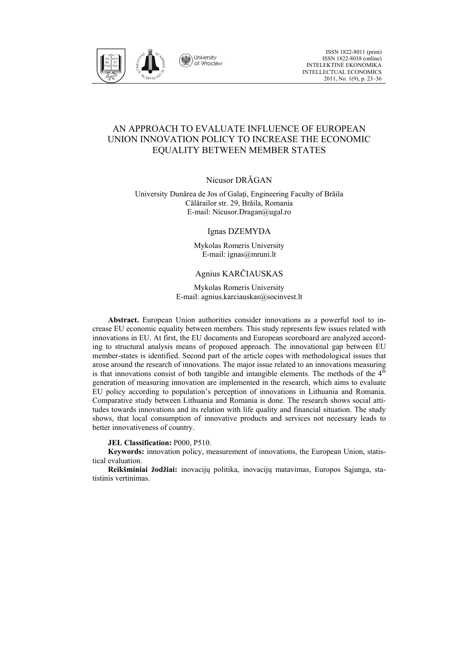

# AN APPROACH TO EVALUATE INFLUENCE OF EUROPEAN UNION INNOVATION POLICY TO INCREASE THE ECONOMIC EQUALITY BETWEEN MEMBER STATES

# Nicusor DRĂGAN

University Dunărea de Jos of Galaţi, Engineering Faculty of Brăila Călărailor str. 29, Brăila, Romania E-mail: Nicusor.Dragan@ugal.ro

Ignas DZEMYDA

Mykolas Romeris University E-mail: ignas@mruni.lt

# Agnius KARČIAUSKAS

Mykolas Romeris University E-mail: agnius.karciauskas@socinvest.lt

**Abstract.** European Union authorities consider innovations as a powerful tool to increase EU economic equality between members. This study represents few issues related with innovations in EU. At first, the EU documents and European scoreboard are analyzed according to structural analysis means of proposed approach. The innovational gap between EU member-states is identified. Second part of the article copes with methodological issues that arose around the research of innovations. The major issue related to an innovations measuring is that innovations consist of both tangible and intangible elements. The methods of the  $4<sup>th</sup>$ generation of measuring innovation are implemented in the research, which aims to evaluate EU policy according to population's perception of innovations in Lithuania and Romania. Comparative study between Lithuania and Romania is done. The research shows social attitudes towards innovations and its relation with life quality and financial situation. The study shows, that local consumption of innovative products and services not necessary leads to better innovativeness of country.

#### **JEL Classification:** P000, P510.

**Keywords:** innovation policy, measurement of innovations, the European Union, statistical evaluation.

**Reikšminiai žodžiai:** inovacijų politika, inovacijų matavimas, Europos Sąjunga, statistinis vertinimas.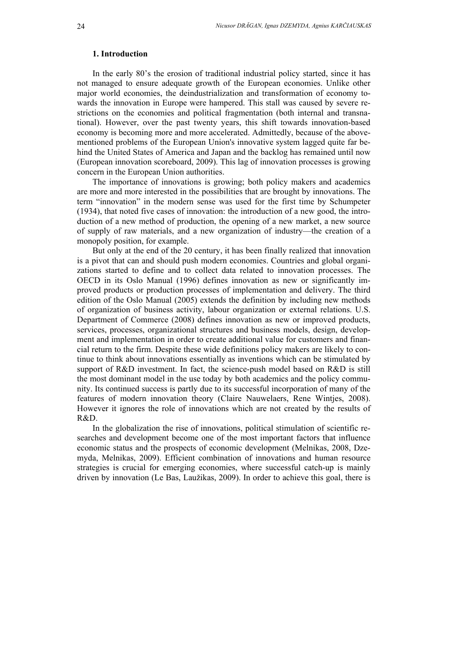#### **1. Introduction**

In the early 80's the erosion of traditional industrial policy started, since it has not managed to ensure adequate growth of the European economies. Unlike other major world economies, the deindustrialization and transformation of economy towards the innovation in Europe were hampered. This stall was caused by severe restrictions on the economies and political fragmentation (both internal and transnational). However, over the past twenty years, this shift towards innovation-based economy is becoming more and more accelerated. Admittedly, because of the abovementioned problems of the European Union's innovative system lagged quite far behind the United States of America and Japan and the backlog has remained until now (European innovation scoreboard, 2009). This lag of innovation processes is growing concern in the European Union authorities.

The importance of innovations is growing; both policy makers and academics are more and more interested in the possibilities that are brought by innovations. The term "innovation" in the modern sense was used for the first time by Schumpeter (1934), that noted five cases of innovation: the introduction of a new good, the introduction of a new method of production, the opening of a new market, a new source of supply of raw materials, and a new organization of industry—the creation of a monopoly position, for example.

But only at the end of the 20 century, it has been finally realized that innovation is a pivot that can and should push modern economies. Countries and global organizations started to define and to collect data related to innovation processes. The OECD in its Oslo Manual (1996) defines innovation as new or significantly improved products or production processes of implementation and delivery. The third edition of the Oslo Manual (2005) extends the definition by including new methods of organization of business activity, labour organization or external relations. U.S. Department of Commerce (2008) defines innovation as new or improved products, services, processes, organizational structures and business models, design, development and implementation in order to create additional value for customers and financial return to the firm. Despite these wide definitions policy makers are likely to continue to think about innovations essentially as inventions which can be stimulated by support of R&D investment. In fact, the science-push model based on R&D is still the most dominant model in the use today by both academics and the policy community. Its continued success is partly due to its successful incorporation of many of the features of modern innovation theory (Claire Nauwelaers, Rene Wintjes, 2008). However it ignores the role of innovations which are not created by the results of R&D.

In the globalization the rise of innovations, political stimulation of scientific researches and development become one of the most important factors that influence economic status and the prospects of economic development (Melnikas, 2008, Dzemyda, Melnikas, 2009). Efficient combination of innovations and human resource strategies is crucial for emerging economies, where successful catch-up is mainly driven by innovation (Le Bas, Laužikas, 2009). In order to achieve this goal, there is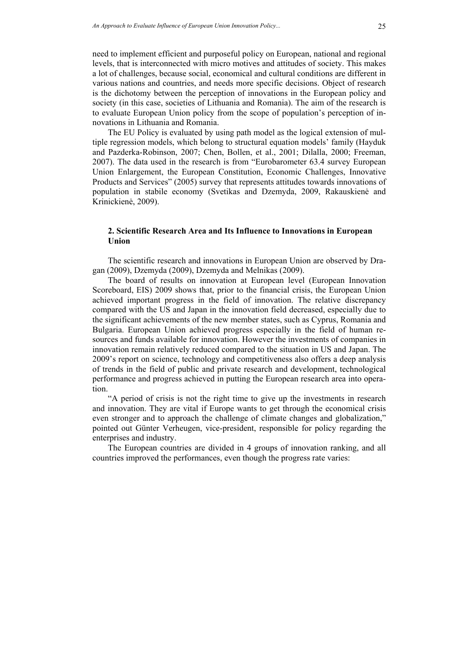need to implement efficient and purposeful policy on European, national and regional levels, that is interconnected with micro motives and attitudes of society. This makes a lot of challenges, because social, economical and cultural conditions are different in various nations and countries, and needs more specific decisions. Object of research is the dichotomy between the perception of innovations in the European policy and society (in this case, societies of Lithuania and Romania). The aim of the research is to evaluate European Union policy from the scope of population's perception of innovations in Lithuania and Romania.

The EU Policy is evaluated by using path model as the logical extension of multiple regression models, which belong to structural equation models' family (Hayduk and Pazderka-Robinson, 2007; Chen, Bollen, et al., 2001; Dilalla, 2000; Freeman, 2007). The data used in the research is from "Eurobarometer 63.4 survey European Union Enlargement, the European Constitution, Economic Challenges, Innovative Products and Services" (2005) survey that represents attitudes towards innovations of population in stabile economy (Svetikas and Dzemyda, 2009, Rakauskienė and Krinickienė, 2009).

# **2. Scientific Research Area and Its Influence to Innovations in European Union**

The scientific research and innovations in European Union are observed by Dragan (2009), Dzemyda (2009), Dzemyda and Melnikas (2009).

The board of results on innovation at European level (European Innovation Scoreboard, EIS) 2009 shows that, prior to the financial crisis, the European Union achieved important progress in the field of innovation. The relative discrepancy compared with the US and Japan in the innovation field decreased, especially due to the significant achievements of the new member states, such as Cyprus, Romania and Bulgaria. European Union achieved progress especially in the field of human resources and funds available for innovation. However the investments of companies in innovation remain relatively reduced compared to the situation in US and Japan. The 2009's report on science, technology and competitiveness also offers a deep analysis of trends in the field of public and private research and development, technological performance and progress achieved in putting the European research area into operation.

"A period of crisis is not the right time to give up the investments in research and innovation. They are vital if Europe wants to get through the economical crisis even stronger and to approach the challenge of climate changes and globalization," pointed out Günter Verheugen, vice-president, responsible for policy regarding the enterprises and industry.

The European countries are divided in 4 groups of innovation ranking, and all countries improved the performances, even though the progress rate varies: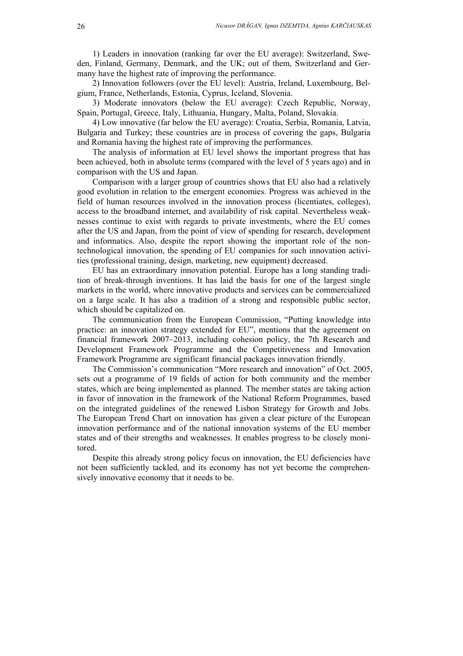1) Leaders in innovation (ranking far over the EU average): Switzerland, Sweden, Finland, Germany, Denmark, and the UK; out of them, Switzerland and Germany have the highest rate of improving the performance.

2) Innovation followers (over the EU level): Austria, Ireland, Luxembourg, Belgium, France, Netherlands, Estonia, Cyprus, Iceland, Slovenia.

3) Moderate innovators (below the EU average): Czech Republic, Norway, Spain, Portugal, Greece, Italy, Lithuania, Hungary, Malta, Poland, Slovakia.

4) Low innovative (far below the EU average): Croatia, Serbia, Romania, Latvia, Bulgaria and Turkey; these countries are in process of covering the gaps, Bulgaria and Romania having the highest rate of improving the performances.

The analysis of information at EU level shows the important progress that has been achieved, both in absolute terms (compared with the level of 5 years ago) and in comparison with the US and Japan.

Comparison with a larger group of countries shows that EU also had a relatively good evolution in relation to the emergent economies. Progress was achieved in the field of human resources involved in the innovation process (licentiates, colleges), access to the broadband internet, and availability of risk capital. Nevertheless weaknesses continue to exist with regards to private investments, where the EU comes after the US and Japan, from the point of view of spending for research, development and informatics. Also, despite the report showing the important role of the nontechnological innovation, the spending of EU companies for such innovation activities (professional training, design, marketing, new equipment) decreased.

EU has an extraordinary innovation potential. Europe has a long standing tradition of break-through inventions. It has laid the basis for one of the largest single markets in the world, where innovative products and services can be commercialized on a large scale. It has also a tradition of a strong and responsible public sector, which should be capitalized on.

The communication from the European Commission, "Putting knowledge into practice: an innovation strategy extended for EU", mentions that the agreement on financial framework 2007–2013, including cohesion policy, the 7th Research and Development Framework Programme and the Competitiveness and Innovation Framework Programme are significant financial packages innovation friendly.

The Commission's communication "More research and innovation" of Oct. 2005, sets out a programme of 19 fields of action for both community and the member states, which are being implemented as planned. The member states are taking action in favor of innovation in the framework of the National Reform Programmes, based on the integrated guidelines of the renewed Lisbon Strategy for Growth and Jobs. The European Trend Chart on innovation has given a clear picture of the European innovation performance and of the national innovation systems of the EU member states and of their strengths and weaknesses. It enables progress to be closely monitored.

Despite this already strong policy focus on innovation, the EU deficiencies have not been sufficiently tackled, and its economy has not yet become the comprehensively innovative economy that it needs to be.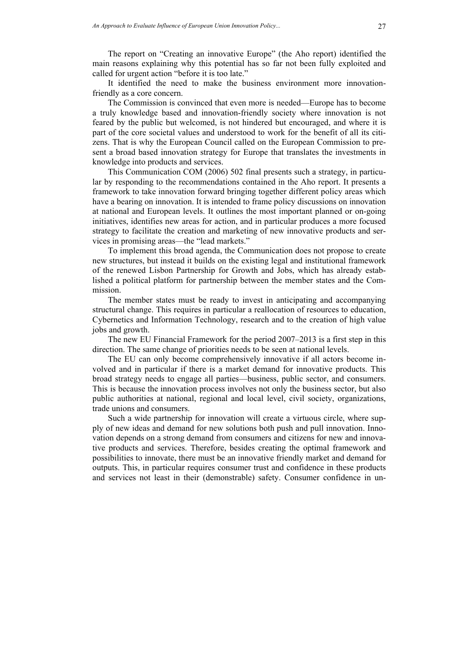The report on "Creating an innovative Europe" (the Aho report) identified the main reasons explaining why this potential has so far not been fully exploited and called for urgent action "before it is too late."

It identified the need to make the business environment more innovationfriendly as a core concern.

The Commission is convinced that even more is needed—Europe has to become a truly knowledge based and innovation-friendly society where innovation is not feared by the public but welcomed, is not hindered but encouraged, and where it is part of the core societal values and understood to work for the benefit of all its citizens. That is why the European Council called on the European Commission to present a broad based innovation strategy for Europe that translates the investments in knowledge into products and services.

This Communication COM (2006) 502 final presents such a strategy, in particular by responding to the recommendations contained in the Aho report. It presents a framework to take innovation forward bringing together different policy areas which have a bearing on innovation. It is intended to frame policy discussions on innovation at national and European levels. It outlines the most important planned or on-going initiatives, identifies new areas for action, and in particular produces a more focused strategy to facilitate the creation and marketing of new innovative products and services in promising areas—the "lead markets."

To implement this broad agenda, the Communication does not propose to create new structures, but instead it builds on the existing legal and institutional framework of the renewed Lisbon Partnership for Growth and Jobs, which has already established a political platform for partnership between the member states and the Commission.

The member states must be ready to invest in anticipating and accompanying structural change. This requires in particular a reallocation of resources to education, Cybernetics and Information Technology, research and to the creation of high value jobs and growth.

The new EU Financial Framework for the period 2007–2013 is a first step in this direction. The same change of priorities needs to be seen at national levels.

The EU can only become comprehensively innovative if all actors become involved and in particular if there is a market demand for innovative products. This broad strategy needs to engage all parties—business, public sector, and consumers. This is because the innovation process involves not only the business sector, but also public authorities at national, regional and local level, civil society, organizations, trade unions and consumers.

Such a wide partnership for innovation will create a virtuous circle, where supply of new ideas and demand for new solutions both push and pull innovation. Innovation depends on a strong demand from consumers and citizens for new and innovative products and services. Therefore, besides creating the optimal framework and possibilities to innovate, there must be an innovative friendly market and demand for outputs. This, in particular requires consumer trust and confidence in these products and services not least in their (demonstrable) safety. Consumer confidence in un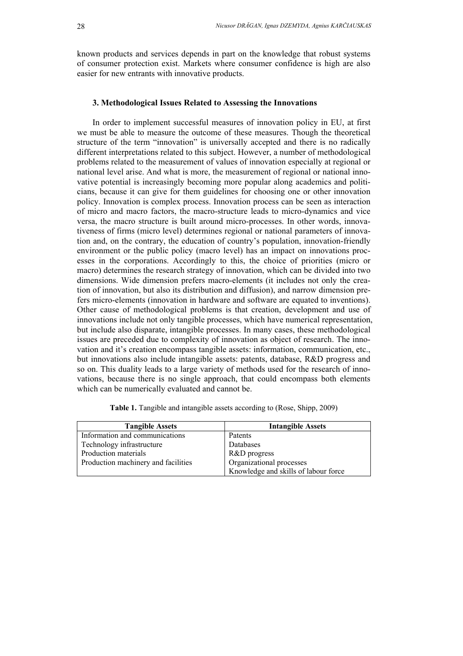known products and services depends in part on the knowledge that robust systems of consumer protection exist. Markets where consumer confidence is high are also easier for new entrants with innovative products.

### **3. Methodological Issues Related to Assessing the Innovations**

In order to implement successful measures of innovation policy in EU, at first we must be able to measure the outcome of these measures. Though the theoretical structure of the term "innovation" is universally accepted and there is no radically different interpretations related to this subject. However, a number of methodological problems related to the measurement of values of innovation especially at regional or national level arise. And what is more, the measurement of regional or national innovative potential is increasingly becoming more popular along academics and politicians, because it can give for them guidelines for choosing one or other innovation policy. Innovation is complex process. Innovation process can be seen as interaction of micro and macro factors, the macro-structure leads to micro-dynamics and vice versa, the macro structure is built around micro-processes. In other words, innovativeness of firms (micro level) determines regional or national parameters of innovation and, on the contrary, the education of country's population, innovation-friendly environment or the public policy (macro level) has an impact on innovations processes in the corporations. Accordingly to this, the choice of priorities (micro or macro) determines the research strategy of innovation, which can be divided into two dimensions. Wide dimension prefers macro-elements (it includes not only the creation of innovation, but also its distribution and diffusion), and narrow dimension prefers micro-elements (innovation in hardware and software are equated to inventions). Other cause of methodological problems is that creation, development and use of innovations include not only tangible processes, which have numerical representation, but include also disparate, intangible processes. In many cases, these methodological issues are preceded due to complexity of innovation as object of research. The innovation and it's creation encompass tangible assets: information, communication, etc., but innovations also include intangible assets: patents, database, R&D progress and so on. This duality leads to a large variety of methods used for the research of innovations, because there is no single approach, that could encompass both elements which can be numerically evaluated and cannot be.

| <b>Tangible Assets</b>              | <b>Intangible Assets</b> |
|-------------------------------------|--------------------------|
| Information and communications      | Patents                  |
| Technology infrastructure           | Databases                |
| Production materials                | R&D progress             |
| Production machinery and facilities | Organizational processes |

Knowledge and skills of labour force

**Table 1.** Tangible and intangible assets according to (Rose, Shipp, 2009)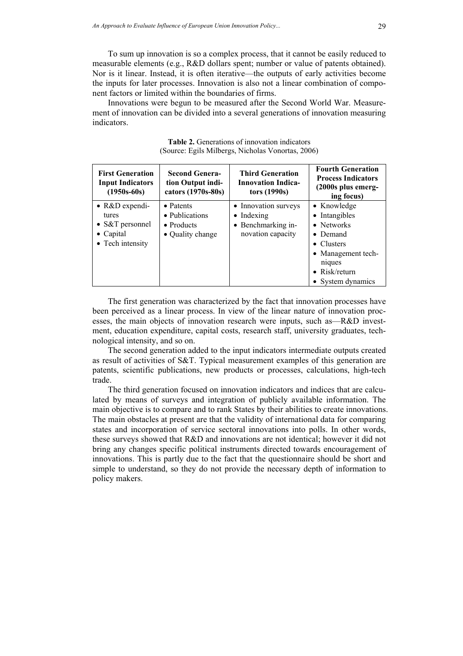To sum up innovation is so a complex process, that it cannot be easily reduced to measurable elements (e.g., R&D dollars spent; number or value of patents obtained). Nor is it linear. Instead, it is often iterative—the outputs of early activities become the inputs for later processes. Innovation is also not a linear combination of component factors or limited within the boundaries of firms.

Innovations were begun to be measured after the Second World War. Measurement of innovation can be divided into a several generations of innovation measuring indicators.

| <b>First Generation</b><br><b>Input Indicators</b><br>$(1950s-60s)$                         | <b>Second Genera-</b><br>tion Output indi-<br>cators (1970s-80s)      | <b>Third Generation</b><br><b>Innovation Indica-</b><br>tors $(1990s)$                | <b>Fourth Generation</b><br><b>Process Indicators</b><br>(2000s plus emerg-<br>ing focus)                                                  |
|---------------------------------------------------------------------------------------------|-----------------------------------------------------------------------|---------------------------------------------------------------------------------------|--------------------------------------------------------------------------------------------------------------------------------------------|
| $\bullet$ R&D expendi-<br>tures<br>• S&T personnel<br>$\bullet$ Capital<br>• Tech intensity | • Patents<br>• Publications<br>$\bullet$ Products<br>• Quality change | • Innovation surveys<br>$\bullet$ Indexing<br>• Benchmarking in-<br>novation capacity | • Knowledge<br>• Intangibles<br>• Networks<br>• Demand<br>• Clusters<br>• Management tech-<br>niques<br>• $Risk/return$<br>System dynamics |

**Table 2.** Generations of innovation indicators (Source: Egils Milbergs, Nicholas Vonortas, 2006)

The first generation was characterized by the fact that innovation processes have been perceived as a linear process. In view of the linear nature of innovation processes, the main objects of innovation research were inputs, such as—R&D investment, education expenditure, capital costs, research staff, university graduates, technological intensity, and so on.

The second generation added to the input indicators intermediate outputs created as result of activities of S&T. Typical measurement examples of this generation are patents, scientific publications, new products or processes, calculations, high-tech trade.

The third generation focused on innovation indicators and indices that are calculated by means of surveys and integration of publicly available information. The main objective is to compare and to rank States by their abilities to create innovations. The main obstacles at present are that the validity of international data for comparing states and incorporation of service sectoral innovations into polls. In other words, these surveys showed that R&D and innovations are not identical; however it did not bring any changes specific political instruments directed towards encouragement of innovations. This is partly due to the fact that the questionnaire should be short and simple to understand, so they do not provide the necessary depth of information to policy makers.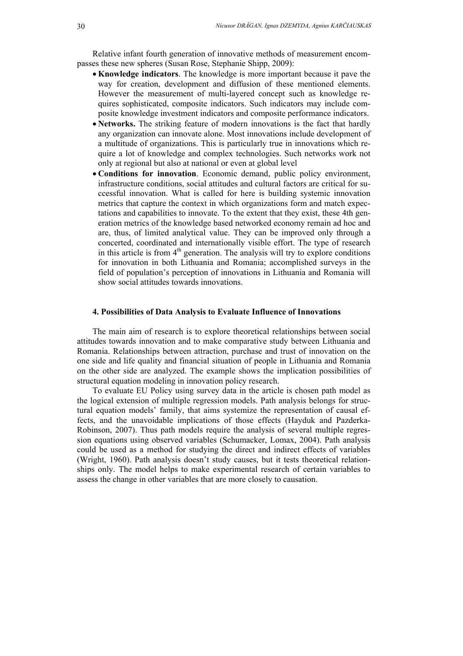Relative infant fourth generation of innovative methods of measurement encompasses these new spheres (Susan Rose, Stephanie Shipp, 2009):

- **Knowledge indicators**. The knowledge is more important because it pave the way for creation, development and diffusion of these mentioned elements. However the measurement of multi-layered concept such as knowledge requires sophisticated, composite indicators. Such indicators may include composite knowledge investment indicators and composite performance indicators.
- **Networks.** The striking feature of modern innovations is the fact that hardly any organization can innovate alone. Most innovations include development of a multitude of organizations. This is particularly true in innovations which require a lot of knowledge and complex technologies. Such networks work not only at regional but also at national or even at global level
- **Conditions for innovation**. Economic demand, public policy environment, infrastructure conditions, social attitudes and cultural factors are critical for successful innovation. What is called for here is building systemic innovation metrics that capture the context in which organizations form and match expectations and capabilities to innovate. To the extent that they exist, these 4th generation metrics of the knowledge based networked economy remain ad hoc and are, thus, of limited analytical value. They can be improved only through a concerted, coordinated and internationally visible effort. The type of research in this article is from  $4<sup>th</sup>$  generation. The analysis will try to explore conditions for innovation in both Lithuania and Romania; accomplished surveys in the field of population's perception of innovations in Lithuania and Romania will show social attitudes towards innovations.

### **4. Possibilities of Data Analysis to Evaluate Influence of Innovations**

The main aim of research is to explore theoretical relationships between social attitudes towards innovation and to make comparative study between Lithuania and Romania. Relationships between attraction, purchase and trust of innovation on the one side and life quality and financial situation of people in Lithuania and Romania on the other side are analyzed. The example shows the implication possibilities of structural equation modeling in innovation policy research.

To evaluate EU Policy using survey data in the article is chosen path model as the logical extension of multiple regression models. Path analysis belongs for structural equation models' family, that aims systemize the representation of causal effects, and the unavoidable implications of those effects (Hayduk and Pazderka-Robinson, 2007). Thus path models require the analysis of several multiple regression equations using observed variables (Schumacker, Lomax, 2004). Path analysis could be used as a method for studying the direct and indirect effects of variables (Wright, 1960). Path analysis doesn't study causes, but it tests theoretical relationships only. The model helps to make experimental research of certain variables to assess the change in other variables that are more closely to causation.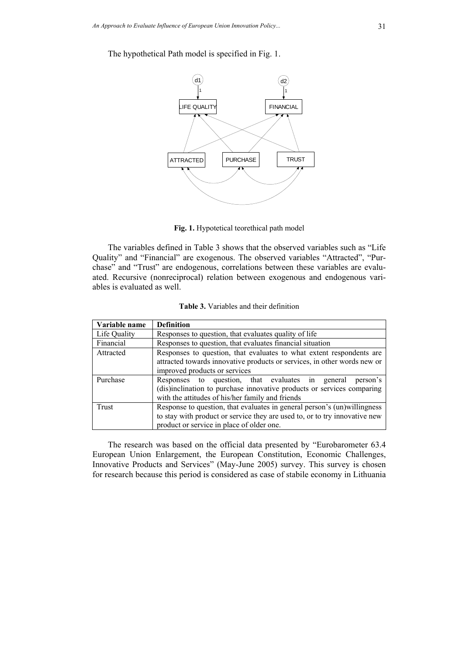The hypothetical Path model is specified in Fig. 1.



Fig. 1. Hypotetical teorethical path model

The variables defined in Table 3 shows that the observed variables such as "Life Quality" and "Financial" are exogenous. The observed variables "Attracted", "Purchase" and "Trust" are endogenous, correlations between these variables are evaluated. Recursive (nonreciprocal) relation between exogenous and endogenous variables is evaluated as well.

| Variable name | <b>Definition</b>                                                                                                                                                                                   |
|---------------|-----------------------------------------------------------------------------------------------------------------------------------------------------------------------------------------------------|
| Life Quality  | Responses to question, that evaluates quality of life                                                                                                                                               |
| Financial     | Responses to question, that evaluates financial situation                                                                                                                                           |
| Attracted     | Responses to question, that evaluates to what extent respondents are<br>attracted towards innovative products or services, in other words new or<br>improved products or services                   |
| Purchase      | Responses to question, that evaluates in general<br>person's<br>(dis)inclination to purchase innovative products or services comparing<br>with the attitudes of his/her family and friends          |
| Trust         | Response to question, that evaluates in general person's (un)willingness<br>to stay with product or service they are used to, or to try innovative new<br>product or service in place of older one. |

The research was based on the official data presented by "Eurobarometer 63.4 European Union Enlargement, the European Constitution, Economic Challenges, Innovative Products and Services" (May-June 2005) survey. This survey is chosen for research because this period is considered as case of stabile economy in Lithuania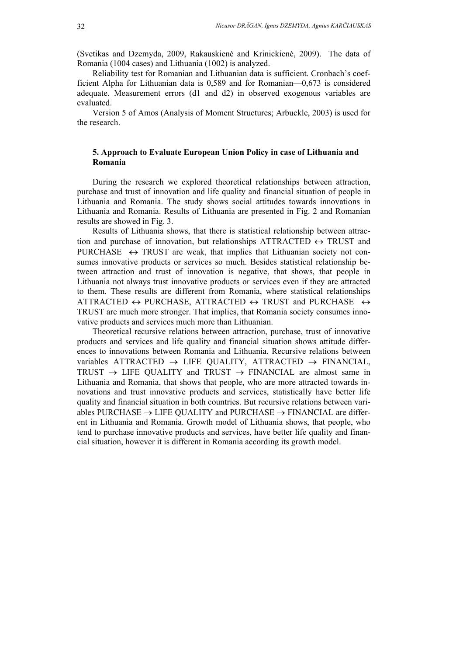(Svetikas and Dzemyda, 2009, Rakauskienė and Krinickienė, 2009). The data of Romania (1004 cases) and Lithuania (1002) is analyzed.

Reliability test for Romanian and Lithuanian data is sufficient. Cronbach's coefficient Alpha for Lithuanian data is 0,589 and for Romanian—0,673 is considered adequate. Measurement errors (d1 and d2) in observed exogenous variables are evaluated.

Version 5 of Amos (Analysis of Moment Structures; Arbuckle, 2003) is used for the research.

# **5. Approach to Evaluate European Union Policy in case of Lithuania and Romania**

During the research we explored theoretical relationships between attraction, purchase and trust of innovation and life quality and financial situation of people in Lithuania and Romania. The study shows social attitudes towards innovations in Lithuania and Romania. Results of Lithuania are presented in Fig. 2 and Romanian results are showed in Fig. 3.

Results of Lithuania shows, that there is statistical relationship between attraction and purchase of innovation, but relationships  $\Lambda \text{TTRACTED} \leftrightarrow \text{TRUST}$  and PURCHASE  $\leftrightarrow$  TRUST are weak, that implies that Lithuanian society not consumes innovative products or services so much. Besides statistical relationship between attraction and trust of innovation is negative, that shows, that people in Lithuania not always trust innovative products or services even if they are attracted to them. These results are different from Romania, where statistical relationships ATTRACTED  $\leftrightarrow$  PURCHASE, ATTRACTED  $\leftrightarrow$  TRUST and PURCHASE  $\leftrightarrow$ TRUST are much more stronger. That implies, that Romania society consumes innovative products and services much more than Lithuanian.

Theoretical recursive relations between attraction, purchase, trust of innovative products and services and life quality and financial situation shows attitude differences to innovations between Romania and Lithuania. Recursive relations between variables ATTRACTED  $\rightarrow$  LIFE QUALITY, ATTRACTED  $\rightarrow$  FINANCIAL, TRUST  $\rightarrow$  LIFE QUALITY and TRUST  $\rightarrow$  FINANCIAL are almost same in Lithuania and Romania, that shows that people, who are more attracted towards innovations and trust innovative products and services, statistically have better life quality and financial situation in both countries. But recursive relations between variables PURCHASE  $\rightarrow$  LIFE QUALITY and PURCHASE  $\rightarrow$  FINANCIAL are different in Lithuania and Romania. Growth model of Lithuania shows, that people, who tend to purchase innovative products and services, have better life quality and financial situation, however it is different in Romania according its growth model.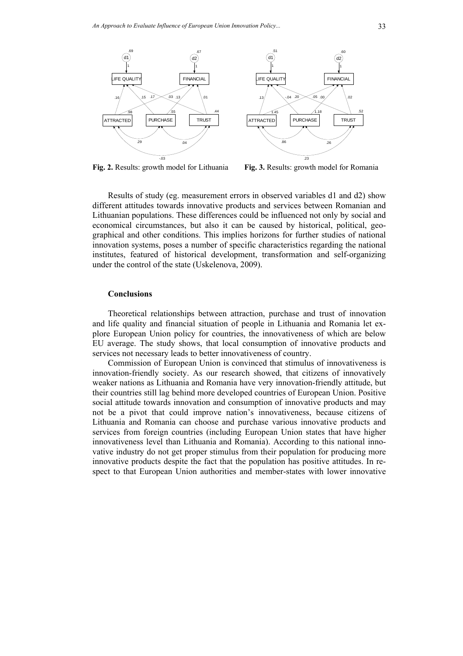

**Fig. 2.** Results: growth model for Lithuania **Fig. 3.** Results: growth model for Romania

Results of study (eg. measurement errors in observed variables d1 and d2) show different attitudes towards innovative products and services between Romanian and Lithuanian populations. These differences could be influenced not only by social and economical circumstances, but also it can be caused by historical, political, geographical and other conditions. This implies horizons for further studies of national innovation systems, poses a number of specific characteristics regarding the national institutes, featured of historical development, transformation and self-organizing under the control of the state (Uskelenova, 2009).

### **Conclusions**

Theoretical relationships between attraction, purchase and trust of innovation and life quality and financial situation of people in Lithuania and Romania let explore European Union policy for countries, the innovativeness of which are below EU average. The study shows, that local consumption of innovative products and services not necessary leads to better innovativeness of country.

Commission of European Union is convinced that stimulus of innovativeness is innovation-friendly society. As our research showed, that citizens of innovatively weaker nations as Lithuania and Romania have very innovation-friendly attitude, but their countries still lag behind more developed countries of European Union. Positive social attitude towards innovation and consumption of innovative products and may not be a pivot that could improve nation's innovativeness, because citizens of Lithuania and Romania can choose and purchase various innovative products and services from foreign countries (including European Union states that have higher innovativeness level than Lithuania and Romania). According to this national innovative industry do not get proper stimulus from their population for producing more innovative products despite the fact that the population has positive attitudes. In respect to that European Union authorities and member-states with lower innovative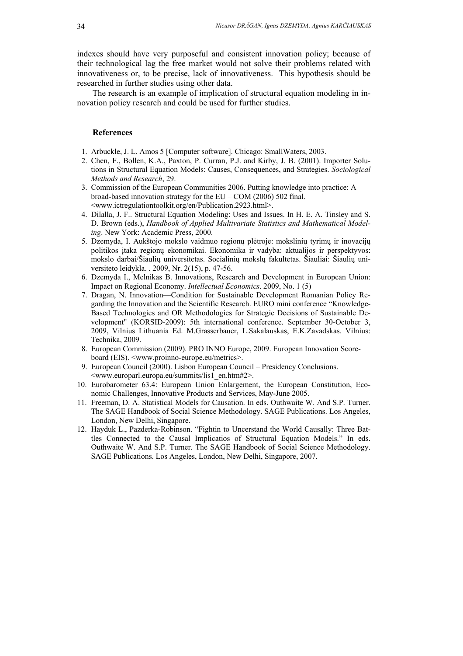indexes should have very purposeful and consistent innovation policy; because of their technological lag the free market would not solve their problems related with innovativeness or, to be precise, lack of innovativeness. This hypothesis should be researched in further studies using other data.

The research is an example of implication of structural equation modeling in innovation policy research and could be used for further studies.

### **References**

- 1. Arbuckle, J. L. Amos 5 [Computer software]. Chicago: SmallWaters, 2003.
- 2. Chen, F., Bollen, K.A., Paxton, P. Curran, P.J. and Kirby, J. B. (2001). Importer Solutions in Structural Equation Models: Causes, Consequences, and Strategies. *Sociological Methods and Research*, 29.
- 3. Commission of the European Communities 2006. Putting knowledge into practice: A broad-based innovation strategy for the EU – COM (2006) 502 final. <www.ictregulationtoolkit.org/en/Publication.2923.html>.
- 4. Dilalla, J. F.. Structural Equation Modeling: Uses and Issues. In H. E. A. Tinsley and S. D. Brown (eds.), *Handbook of Applied Multivariate Statistics and Mathematical Modeling*. New York: Academic Press, 2000.
- 5. Dzemyda, I. Aukštojo mokslo vaidmuo regionų plėtroje: mokslinių tyrimų ir inovacijų politikos įtaka regionų ekonomikai. Ekonomika ir vadyba: aktualijos ir perspektyvos: mokslo darbai/Šiaulių universitetas. Socialinių mokslų fakultetas. Šiauliai: Šiaulių universiteto leidykla. . 2009, Nr. 2(15), p. 47-56.
- 6. Dzemyda I., Melnikas B. Innovations, Research and Development in European Union: Impact on Regional Economy. *Intellectual Economics*. 2009, No. 1 (5)
- 7. Dragan, N. Innovation—Condition for Sustainable Development Romanian Policy Regarding the Innovation and the Scientific Research. EURO mini conference "Knowledge-Based Technologies and OR Methodologies for Strategic Decisions of Sustainable Development" (KORSID-2009): 5th international conference. September 30-October 3, 2009, Vilnius Lithuania Ed. M.Grasserbauer, L.Sakalauskas, E.K.Zavadskas. Vilnius: Technika, 2009.
- 8. European Commission (2009). PRO INNO Europe, 2009. European Innovation Scoreboard (EIS). <www.proinno-europe.eu/metrics>.
- 9. European Council (2000). Lisbon European Council Presidency Conclusions. <www.europarl.europa.eu/summits/lis1\_en.htm#2>.
- 10. Eurobarometer 63.4: European Union Enlargement, the European Constitution, Economic Challenges, Innovative Products and Services, May-June 2005.
- 11. Freeman, D. A. Statistical Models for Causation. In eds. Outhwaite W. And S.P. Turner. The SAGE Handbook of Social Science Methodology. SAGE Publications. Los Angeles, London, New Delhi, Singapore.
- 12. Hayduk L., Pazderka-Robinson. "Fightin to Uncerstand the World Causally: Three Battles Connected to the Causal Implicatios of Structural Equation Models." In eds. Outhwaite W. And S.P. Turner. The SAGE Handbook of Social Science Methodology. SAGE Publications. Los Angeles, London, New Delhi, Singapore, 2007.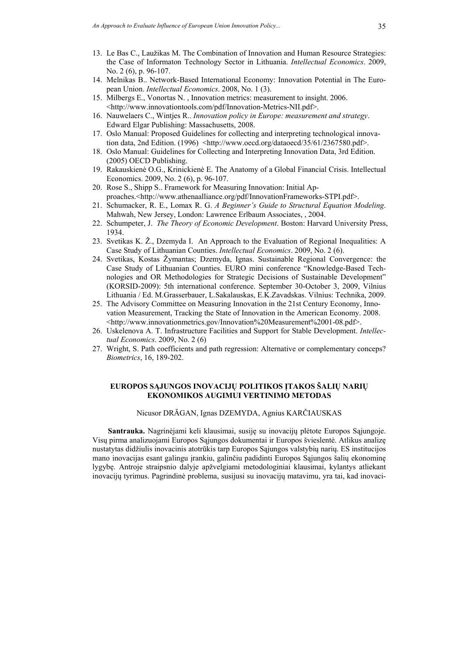- 13. Le Bas C., Laužikas M. The Combination of Innovation and Human Resource Strategies: the Case of Informaton Technology Sector in Lithuania. *Intellectual Economics*. 2009, No. 2 (6), p. 96-107.
- 14. Melnikas B.. Network-Based International Economy: Innovation Potential in The European Union. *Intellectual Economics*. 2008, No. 1 (3).
- 15. Milbergs E., Vonortas N. , Innovation metrics: measurement to insight. 2006. <http://www.innovationtools.com/pdf/Innovation-Metrics-NII.pdf>.
- 16. Nauwelaers C., Wintjes R.. *Innovation policy in Europe: measurement and strategy*. Edward Elgar Publishing: Massachusetts, 2008.
- 17. Oslo Manual: Proposed Guidelines for collecting and interpreting technological innovation data, 2nd Edition. (1996)  $\langle \frac{http://www.oecd.org/dataoecd}{35/61/2367580.pdf} \rangle$ .
- 18. Oslo Manual: Guidelines for Collecting and Interpreting Innovation Data, 3rd Edition. (2005) OECD Publishing.
- 19. Rakauskienė O.G., Krinickienė E. The Anatomy of a Global Financial Crisis. Intellectual Economics. 2009, No. 2 (6), p. 96-107.
- 20. Rose S., Shipp S.. Framework for Measuring Innovation: Initial Approaches.<http://www.athenaalliance.org/pdf/InnovationFrameworks-STPI.pdf>.
- 21. Schumacker, R. E., Lomax R. G. *A Beginner's Guide to Structural Equation Modeling*. Mahwah, New Jersey, London: Lawrence Erlbaum Associates, , 2004.
- 22. Schumpeter, J. *The Theory of Economic Development*. Boston: Harvard University Press, 1934.
- 23. Svetikas K. Ž., Dzemyda I. An Approach to the Evaluation of Regional Inequalities: A Case Study of Lithuanian Counties. *Intellectual Economics*. 2009, No. 2 (6).
- 24. Svetikas, Kostas Žymantas; Dzemyda, Ignas. Sustainable Regional Convergence: the Case Study of Lithuanian Counties. EURO mini conference "Knowledge-Based Technologies and OR Methodologies for Strategic Decisions of Sustainable Development" (KORSID-2009): 5th international conference. September 30-October 3, 2009, Vilnius Lithuania / Ed. M.Grasserbauer, L.Sakalauskas, E.K.Zavadskas. Vilnius: Technika, 2009.
- 25. The Advisory Committee on Measuring Innovation in the 21st Century Economy, Innovation Measurement, Tracking the State of Innovation in the American Economy. 2008. <http://www.innovationmetrics.gov/Innovation%20Measurement%2001-08.pdf>.
- 26. Uskelenova A. T. Infrastructure Facilities and Support for Stable Development. *Intellectual Economics*. 2009, No. 2 (6)
- 27. Wright, S. Path coefficients and path regression: Alternative or complementary conceps? *Biometrics*, 16, 189-202.

#### **EUROPOS SĄJUNGOS INOVACIJŲ POLITIKOS ĮTAKOS ŠALIŲ NARIŲ EKONOMIKOS AUGIMUI VERTINIMO METODAS**

### Nicusor DRĂGAN, Ignas DZEMYDA, Agnius KARČIAUSKAS

**Santrauka.** Nagrinėjami keli klausimai, susiję su inovacijų plėtote Europos Sąjungoje. Visų pirma analizuojami Europos Sąjungos dokumentai ir Europos švieslentė. Atlikus analizę nustatytas didžiulis inovacinis atotrūkis tarp Europos Sąjungos valstybių narių. ES institucijos mano inovacijas esant galingu įrankiu, galinčiu padidinti Europos Sąjungos šalių ekonominę lygybę. Antroje straipsnio dalyje apžvelgiami metodologiniai klausimai, kylantys atliekant inovacijų tyrimus. Pagrindinė problema, susijusi su inovacijų matavimu, yra tai, kad inovaci